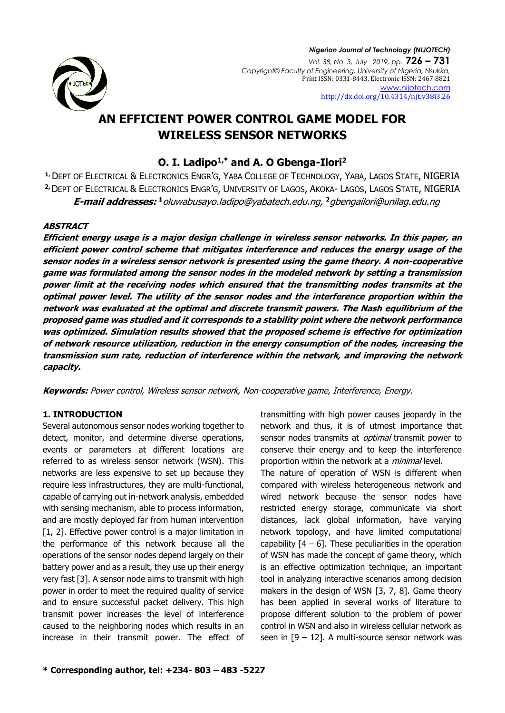

# **AN EFFICIENT POWER CONTROL GAME MODEL FOR WIRELESS SENSOR NETWORKS**

# **O. I. Ladipo1,\* and A. O Gbenga-Ilori<sup>2</sup>**

**1,** DEPT OF ELECTRICAL & ELECTRONICS ENGR'G, YABA COLLEGE OF TECHNOLOGY, YABA, LAGOS STATE, NIGERIA **2,**DEPT OF ELECTRICAL & ELECTRONICS ENGR'G, UNIVERSITY OF LAGOS, AKOKA- LAGOS, LAGOS STATE, NIGERIA **E-mail addresses: <sup>1</sup>**oluwabusayo.ladipo@yabatech.edu.ng, **<sup>2</sup>**[gbengailori@unilag.edu.ng](mailto:gbengailori@unilag.edu.ng)

### **ABSTRACT**

**Efficient energy usage is a major design challenge in wireless sensor networks. In this paper, an efficient power control scheme that mitigates interference and reduces the energy usage of the sensor nodes in a wireless sensor network is presented using the game theory. A non-cooperative game was formulated among the sensor nodes in the modeled network by setting a transmission power limit at the receiving nodes which ensured that the transmitting nodes transmits at the optimal power level. The utility of the sensor nodes and the interference proportion within the network was evaluated at the optimal and discrete transmit powers. The Nash equilibrium of the proposed game was studied and it corresponds to a stability point where the network performance was optimized. Simulation results showed that the proposed scheme is effective for optimization of network resource utilization, reduction in the energy consumption of the nodes, increasing the transmission sum rate, reduction of interference within the network, and improving the network capacity.** 

**Keywords:** Power control, Wireless sensor network, Non-cooperative game, Interference, Energy.

## **1. INTRODUCTION**

Several autonomous sensor nodes working together to detect, monitor, and determine diverse operations, events or parameters at different locations are referred to as wireless sensor network (WSN). This networks are less expensive to set up because they require less infrastructures, they are multi-functional, capable of carrying out in-network analysis, embedded with sensing mechanism, able to process information, and are mostly deployed far from human intervention [1, 2]. Effective power control is a major limitation in the performance of this network because all the operations of the sensor nodes depend largely on their battery power and as a result, they use up their energy very fast [3]. A sensor node aims to transmit with high power in order to meet the required quality of service and to ensure successful packet delivery. This high transmit power increases the level of interference caused to the neighboring nodes which results in an increase in their transmit power. The effect of

transmitting with high power causes jeopardy in the network and thus, it is of utmost importance that sensor nodes transmits at *optimal* transmit power to conserve their energy and to keep the interference proportion within the network at a *minimal* level.

The nature of operation of WSN is different when compared with wireless heterogeneous network and wired network because the sensor nodes have restricted energy storage, communicate via short distances, lack global information, have varying network topology, and have limited computational capability  $[4 - 6]$ . These peculiarities in the operation of WSN has made the concept of game theory, which is an effective optimization technique, an important tool in analyzing interactive scenarios among decision makers in the design of WSN [3, 7, 8]. Game theory has been applied in several works of literature to propose different solution to the problem of power control in WSN and also in wireless cellular network as seen in  $[9 - 12]$ . A multi-source sensor network was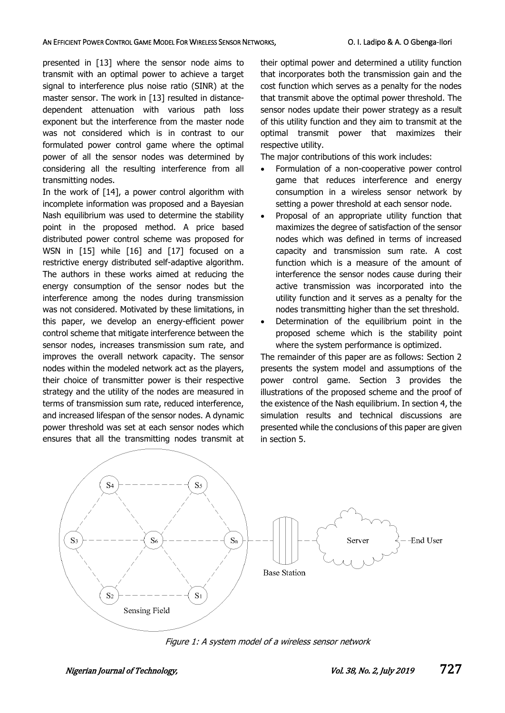#### AN EFFICIENT POWER CONTROL GAME MODEL FOR WIRELESS SENSOR NETWORKS, **COLL AND THE SENSON CONTROL CONTROL** GAME MOT

presented in [13] where the sensor node aims to transmit with an optimal power to achieve a target signal to interference plus noise ratio (SINR) at the master sensor. The work in [13] resulted in distancedependent attenuation with various path loss exponent but the interference from the master node was not considered which is in contrast to our formulated power control game where the optimal power of all the sensor nodes was determined by considering all the resulting interference from all transmitting nodes.

In the work of [14], a power control algorithm with incomplete information was proposed and a Bayesian Nash equilibrium was used to determine the stability point in the proposed method. A price based distributed power control scheme was proposed for WSN in [15] while [16] and [17] focused on a restrictive energy distributed self-adaptive algorithm. The authors in these works aimed at reducing the energy consumption of the sensor nodes but the interference among the nodes during transmission was not considered. Motivated by these limitations, in this paper, we develop an energy-efficient power control scheme that mitigate interference between the sensor nodes, increases transmission sum rate, and improves the overall network capacity. The sensor nodes within the modeled network act as the players, their choice of transmitter power is their respective strategy and the utility of the nodes are measured in terms of transmission sum rate, reduced interference, and increased lifespan of the sensor nodes. A dynamic power threshold was set at each sensor nodes which ensures that all the transmitting nodes transmit at

their optimal power and determined a utility function that incorporates both the transmission gain and the cost function which serves as a penalty for the nodes that transmit above the optimal power threshold. The sensor nodes update their power strategy as a result of this utility function and they aim to transmit at the optimal transmit power that maximizes their respective utility.

The major contributions of this work includes:

- Formulation of a non-cooperative power control game that reduces interference and energy consumption in a wireless sensor network by setting a power threshold at each sensor node.
- Proposal of an appropriate utility function that maximizes the degree of satisfaction of the sensor nodes which was defined in terms of increased capacity and transmission sum rate. A cost function which is a measure of the amount of interference the sensor nodes cause during their active transmission was incorporated into the utility function and it serves as a penalty for the nodes transmitting higher than the set threshold.
- Determination of the equilibrium point in the proposed scheme which is the stability point where the system performance is optimized.

The remainder of this paper are as follows: Section 2 presents the system model and assumptions of the power control game. Section 3 provides the illustrations of the proposed scheme and the proof of the existence of the Nash equilibrium. In section 4, the simulation results and technical discussions are presented while the conclusions of this paper are given in section 5.



Figure 1: A system model of a wireless sensor network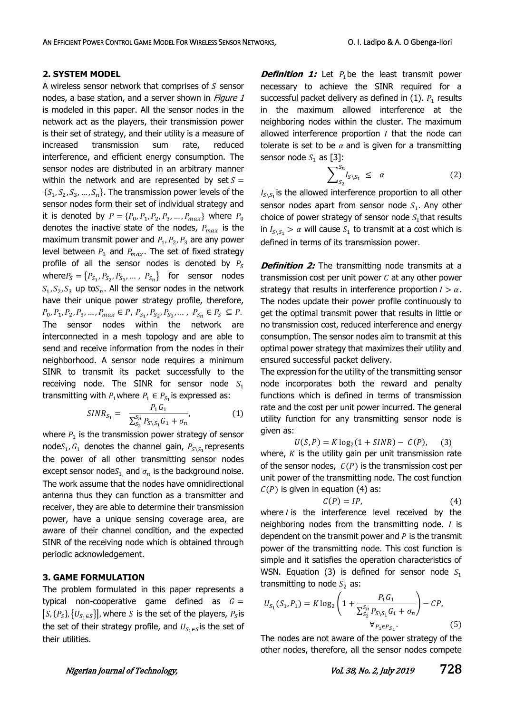#### **2. SYSTEM MODEL**

A wireless sensor network that comprises of  $S$  sensor nodes, a base station, and a server shown in *Figure 1* is modeled in this paper. All the sensor nodes in the network act as the players, their transmission power is their set of strategy, and their utility is a measure of increased transmission sum rate, reduced interference, and efficient energy consumption. The sensor nodes are distributed in an arbitrary manner within the network and are represented by set  $S =$  $\{S_1, S_2, S_3, \ldots, S_n\}$ . The transmission power levels of the sensor nodes form their set of individual strategy and it is denoted by  $P = \{P_0, P_1, P_2, P_3, ..., P_{max}\}\$  where  $P_0$ denotes the inactive state of the nodes,  $P_{max}$  is the maximum transmit power and  $P_1, P_2, P_3$  are any power level between  $P_0$  and  $P_{max}$ . The set of fixed strategy profile of all the sensor nodes is denoted by  $P_s$ where  $P_S = \{P_{S_1}, P_{S_2}, P_{S_3}, \dots, P_{S_n}\}$  for sensor nodes  $S_1, S_2, S_3$  up to $S_n$ . All the sensor nodes in the network have their unique power strategy profile, therefore,  $P_0, P_1, P_2, P_3, \ldots, P_{max} \in P, P_{S_1}, P_{S_2}, P_{S_3}, \ldots, P_{S_n} \in P_S \subseteq P.$ The sensor nodes within the network are interconnected in a mesh topology and are able to send and receive information from the nodes in their neighborhood. A sensor node requires a minimum SINR to transmit its packet successfully to the receiving node. The SINR for sensor node  $S_1$ transmitting with  $P_1$ where  $P_1 \in P_{S_1}$ is expressed as:

$$
SINR_{S_1} = \frac{P_1 G_1}{\sum_{S_2}^{S_n} P_{S \setminus S_1} G_1 + \sigma_n'},
$$
 (1)

where  $P_1$  is the transmission power strategy of sensor node $S_1, G_1$  denotes the channel gain,  $P_{S \setminus S_1}$ represents the power of all other transmitting sensor nodes except sensor nodes<sub>1</sub>, and  $\sigma_n$  is the background noise. The work assume that the nodes have omnidirectional antenna thus they can function as a transmitter and receiver, they are able to determine their transmission power, have a unique sensing coverage area, are aware of their channel condition, and the expected SINR of the receiving node which is obtained through periodic acknowledgement.

#### **3. GAME FORMULATION**

The problem formulated in this paper represents a typical non-cooperative game defined as  $G =$  $[S, {P<sub>S</sub>}, {U<sub>S<sub>1</sub> \in S</sub>}]$ , where S is the set of the players,  $P<sub>S</sub>$  is the set of their strategy profile, and  $U_{S_1 \in S}$ is the set of their utilities.

**Definition 1:** Let P<sub>1</sub>be the least transmit power necessary to achieve the SINR required for a successful packet delivery as defined in (1).  $P_1$  results in the maximum allowed interference at the neighboring nodes within the cluster. The maximum allowed interference proportion  $I$  that the node can tolerate is set to be  $\alpha$  and is given for a transmitting sensor node  $S_1$  as [3]:

$$
\sum_{S_2}^{S_n} I_{S \setminus S_1} \leq \alpha \tag{2}
$$

 $I_{S\setminus S_1}$  is the allowed interference proportion to all other sensor nodes apart from sensor node  $S_1$ . Any other choice of power strategy of sensor node  $S_1$ that results in  $I_{S \setminus S_1} > \alpha$  will cause  $S_1$  to transmit at a cost which is defined in terms of its transmission power.

**Definition 2:** The transmitting node transmits at a transmission cost per unit power  $C$  at any other power strategy that results in interference proportion  $I > \alpha$ . The nodes update their power profile continuously to get the optimal transmit power that results in little or no transmission cost, reduced interference and energy consumption. The sensor nodes aim to transmit at this optimal power strategy that maximizes their utility and ensured successful packet delivery.

The expression for the utility of the transmitting sensor node incorporates both the reward and penalty functions which is defined in terms of transmission rate and the cost per unit power incurred. The general utility function for any transmitting sensor node is given as:

 $U(S, P) = K \log_2(1 + SINR) - C(P),$  (3) where,  $K$  is the utility gain per unit transmission rate of the sensor nodes,  $C(P)$  is the transmission cost per unit power of the transmitting node. The cost function  $C(P)$  is given in equation (4) as:

$$
C(P) = IP,\t\t(4)
$$

where  $I$  is the interference level received by the neighboring nodes from the transmitting node.  *is* dependent on the transmit power and  $P$  is the transmit power of the transmitting node. This cost function is simple and it satisfies the operation characteristics of WSN. Equation (3) is defined for sensor node  $S_1$ transmitting to node  $S_2$  as:

$$
U_{S_1}(S_1, P_1) = K \log_2 \left( 1 + \frac{P_1 G_1}{\sum_{S_2}^{S_n} P_{S \setminus S_1} G_1 + \sigma_n} \right) - CP,
$$
  

$$
\forall_{P_1 \in P_{S_1}}.
$$
 (5)

The nodes are not aware of the power strategy of the other nodes, therefore, all the sensor nodes compete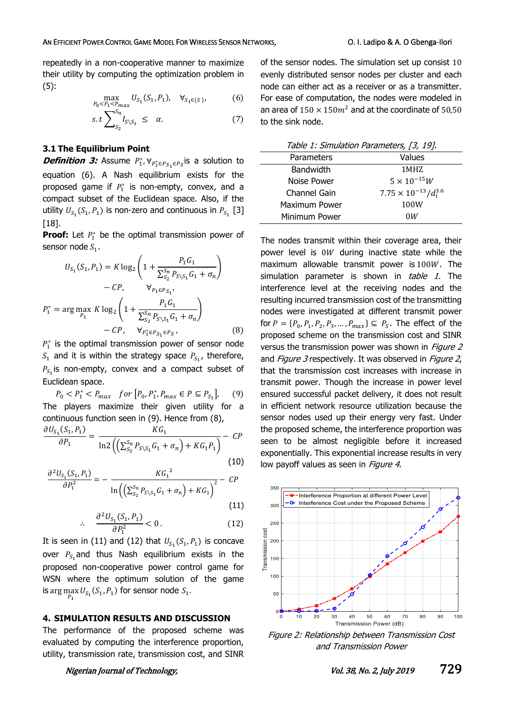repeatedly in a non-cooperative manner to maximize their utility by computing the optimization problem in (5):

$$
\max_{P_0 < P_1 < P_{\text{max}}} U_{S_1}(S_1, P_1), \quad \forall_{S_1 \in \{S\}},\tag{6}
$$

$$
s.t \sum_{S_2}^{S_n} I_{S \setminus S_1} \leq \alpha. \tag{7}
$$

#### **3.1 The Equilibrium Point**

**Definition 3:** Assume  $P_1^*, \forall_{P_1^* \in P_{S_1} \in P_S}$ is a solution to equation (6). A Nash equilibrium exists for the proposed game if  $P_1^*$  is non-empty, convex, and a compact subset of the Euclidean space. Also, if the utility  $U_{S_1}(S_1, P_1)$  is non-zero and continuous in  $P_{S_1}$  [3]  $[18]$ .

**Proof:** Let  $P_1^*$  be the optimal transmission power of sensor node  $S_1$ .

$$
U_{S_1}(S_1, P_1) = K \log_2 \left( 1 + \frac{P_1 G_1}{\sum_{S_2}^{S_n} P_{S \setminus S_1} G_1 + \sigma_n} \right)
$$

$$
- C P, \qquad \forall_{P_1 \in P_{S_1}},
$$

$$
P_1^* = \arg \max_{P_1} K \log_2 \left( 1 + \frac{P_1 G_1}{\sum_{S_2}^{S_n} P_{S \setminus S_1} G_1 + \sigma_n} \right)
$$

$$
- C P, \qquad \forall_{P_1^* \in P_{S_1} \in P_{S}}, \tag{8}
$$

 $P_1^*$  is the optimal transmission power of sensor node  $S_1$  and it is within the strategy space  $P_{S_1}$ , therefore,  $P_{S_1}$  is non-empty, convex and a compact subset of Euclidean space.

 $P_0 < P_1^* < P_{max}$  for  $[P_0, P_1^*, P_{max} \in P \subseteq P_{S_1}]$ ], (9) The players maximize their given utility for a continuous function seen in (9). Hence from (8),

$$
\frac{\partial U_{S_1}(S_1, P_1)}{\partial P_1} = \frac{KG_1}{\ln 2 \left( \left( \sum_{S_2}^{S_n} P_{S \setminus S_1} G_1 + \sigma_n \right) + KG_1 P_1 \right)} - CP
$$
\n(10)

$$
\frac{\partial^2 U_{S_1}(S_1, P_1)}{\partial P_1^2} = -\frac{KG_1^2}{\ln\left(\left(\sum_{S_2}^{S_n} P_{S\setminus S_1} G_1 + \sigma_n\right) + KG_1\right)^2} - CP\tag{11}
$$

$$
\frac{\partial^2 U_{S_1}(S_1, P_1)}{\partial P_1^2} < 0. \tag{12}
$$

It is seen in (11) and (12) that  $U_{S_1}(S_1, P_1)$  is concave over  $P_{S_1}$ and thus Nash equilibrium exists in the proposed non-cooperative power control game for WSN where the optimum solution of the game is arg  $\max_{P_1} U_{S_1}(S_1, P_1)$  for sensor node  $S_1$ .

#### **4. SIMULATION RESULTS AND DISCUSSION**

The performance of the proposed scheme was evaluated by computing the interference proportion, utility, transmission rate, transmission cost, and SINR

∴

of the sensor nodes. The simulation set up consist 10 evenly distributed sensor nodes per cluster and each node can either act as a receiver or as a transmitter. For ease of computation, the nodes were modeled in an area of  $150 \times 150 m^2$  and at the coordinate of 50,50 to the sink node.

| Table 1: Simulation Parameters, [3, 19]. |                                  |
|------------------------------------------|----------------------------------|
| Parameters                               | Values                           |
| <b>Bandwidth</b>                         | 1 MHZ                            |
| Noise Power                              | $5 \times 10^{-15} W$            |
| Channel Gain                             | $7.75 \times 10^{-13}/d_i^{3.6}$ |
| Maximum Power                            | 100W                             |
| Minimum Power                            | 0W                               |

The nodes transmit within their coverage area, their power level is  $0W$  during inactive state while the maximum allowable transmit power is  $100W$ . The simulation parameter is shown in table 1. The interference level at the receiving nodes and the resulting incurred transmission cost of the transmitting nodes were investigated at different transmit power for  $P = \{P_0, P_1, P_2, P_3, ..., P_{max}\} \subseteq P_S$ . The effect of the proposed scheme on the transmission cost and SINR versus the transmission power was shown in Figure 2 and Figure 3 respectively. It was observed in Figure 2, that the transmission cost increases with increase in transmit power. Though the increase in power level ensured successful packet delivery, it does not result in efficient network resource utilization because the sensor nodes used up their energy very fast. Under the proposed scheme, the interference proportion was seen to be almost negligible before it increased exponentially. This exponential increase results in very low payoff values as seen in Figure 4.



Figure 2: Relationship between Transmission Cost and Transmission Power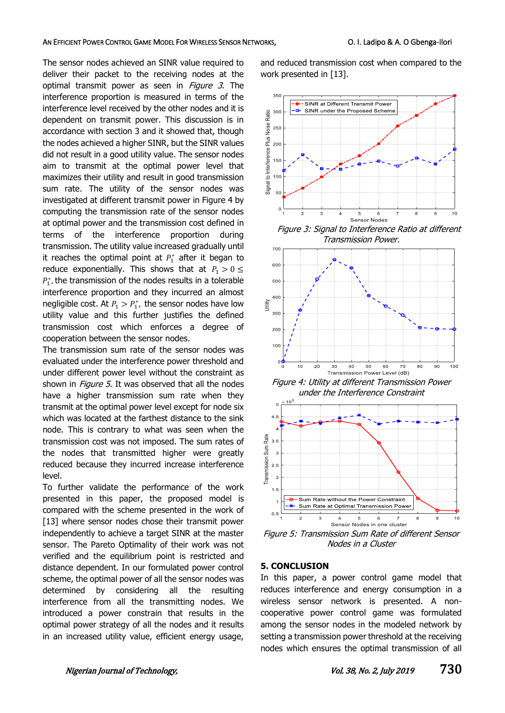#### AN EFFICIENT POWER CONTROL GAME MODEL FOR WIRELESS SENSOR NETWORKS, **COLL AND THE SENSON CONTROL CONTROL** GAME MOT

The sensor nodes achieved an SINR value required to deliver their packet to the receiving nodes at the optimal transmit power as seen in Figure 3. The interference proportion is measured in terms of the interference level received by the other nodes and it is dependent on transmit power. This discussion is in accordance with section 3 and it showed that, though the nodes achieved a higher SINR, but the SINR values did not result in a good utility value. The sensor nodes aim to transmit at the optimal power level that maximizes their utility and result in good transmission sum rate. The utility of the sensor nodes was investigated at different transmit power in Figure 4 by computing the transmission rate of the sensor nodes at optimal power and the transmission cost defined in terms of the interference proportion during transmission. The utility value increased gradually until it reaches the optimal point at  $P_1^*$  after it began to reduce exponentially. This shows that at  $P_1 > 0 \le$  $P_1^*$ , the transmission of the nodes results in a tolerable interference proportion and they incurred an almost negligible cost. At  $P_1 > P_1^*$ , the sensor nodes have low utility value and this further justifies the defined transmission cost which enforces a degree of cooperation between the sensor nodes.

The transmission sum rate of the sensor nodes was evaluated under the interference power threshold and under different power level without the constraint as shown in Figure 5. It was observed that all the nodes have a higher transmission sum rate when they transmit at the optimal power level except for node six which was located at the farthest distance to the sink node. This is contrary to what was seen when the transmission cost was not imposed. The sum rates of the nodes that transmitted higher were greatly reduced because they incurred increase interference level.

To further validate the performance of the work presented in this paper, the proposed model is compared with the scheme presented in the work of [13] where sensor nodes chose their transmit power independently to achieve a target SINR at the master sensor. The Pareto Optimality of their work was not verified and the equilibrium point is restricted and distance dependent. In our formulated power control scheme, the optimal power of all the sensor nodes was determined by considering all the resulting interference from all the transmitting nodes. We introduced a power constrain that results in the optimal power strategy of all the nodes and it results in an increased utility value, efficient energy usage,

and reduced transmission cost when compared to the work presented in [13].



Figure 3: Signal to Interference Ratio at different Transmission Power.



Figure 4: Utility at different Transmission Power under the Interference Constraint



Figure 5: Transmission Sum Rate of different Sensor Nodes in a Cluster

#### **5. CONCLUSION**

In this paper, a power control game model that reduces interference and energy consumption in a wireless sensor network is presented. A noncooperative power control game was formulated among the sensor nodes in the modeled network by setting a transmission power threshold at the receiving nodes which ensures the optimal transmission of all